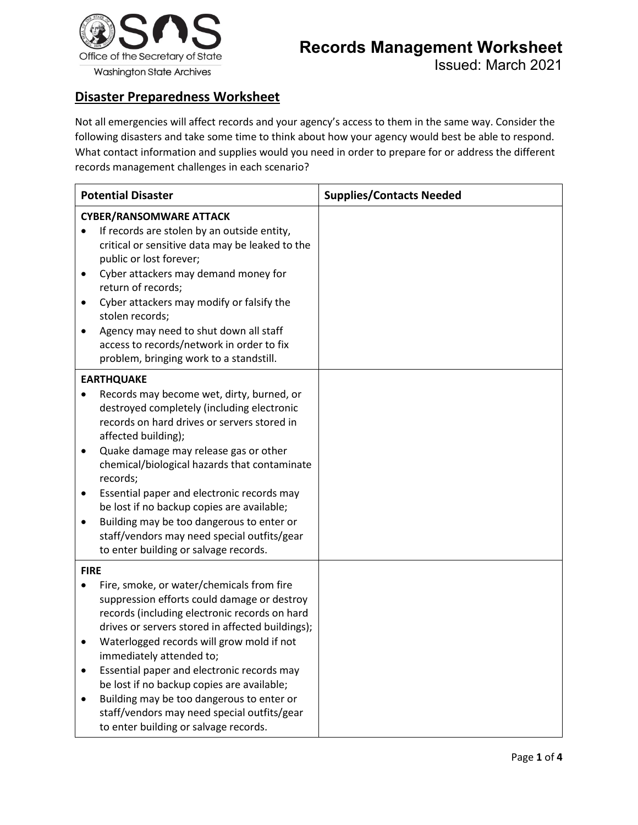

## **Disaster Preparedness Worksheet**

Not all emergencies will affect records and your agency's access to them in the same way. Consider the following disasters and take some time to think about how your agency would best be able to respond. What contact information and supplies would you need in order to prepare for or address the different records management challenges in each scenario?

| <b>Potential Disaster</b>                                                                                                                                                                                                                                                                                                                                                                                                                                                                                                                        | <b>Supplies/Contacts Needed</b> |
|--------------------------------------------------------------------------------------------------------------------------------------------------------------------------------------------------------------------------------------------------------------------------------------------------------------------------------------------------------------------------------------------------------------------------------------------------------------------------------------------------------------------------------------------------|---------------------------------|
| <b>CYBER/RANSOMWARE ATTACK</b><br>If records are stolen by an outside entity,<br>critical or sensitive data may be leaked to the                                                                                                                                                                                                                                                                                                                                                                                                                 |                                 |
| public or lost forever;<br>Cyber attackers may demand money for<br>٠<br>return of records;<br>Cyber attackers may modify or falsify the<br>٠<br>stolen records;                                                                                                                                                                                                                                                                                                                                                                                  |                                 |
| Agency may need to shut down all staff<br>access to records/network in order to fix<br>problem, bringing work to a standstill.                                                                                                                                                                                                                                                                                                                                                                                                                   |                                 |
| <b>EARTHQUAKE</b><br>Records may become wet, dirty, burned, or<br>destroyed completely (including electronic<br>records on hard drives or servers stored in<br>affected building);<br>Quake damage may release gas or other<br>chemical/biological hazards that contaminate<br>records;<br>Essential paper and electronic records may<br>be lost if no backup copies are available;<br>Building may be too dangerous to enter or<br>staff/vendors may need special outfits/gear<br>to enter building or salvage records.                         |                                 |
| <b>FIRE</b><br>Fire, smoke, or water/chemicals from fire<br>suppression efforts could damage or destroy<br>records (including electronic records on hard<br>drives or servers stored in affected buildings);<br>Waterlogged records will grow mold if not<br>immediately attended to;<br>Essential paper and electronic records may<br>$\bullet$<br>be lost if no backup copies are available;<br>Building may be too dangerous to enter or<br>$\bullet$<br>staff/vendors may need special outfits/gear<br>to enter building or salvage records. |                                 |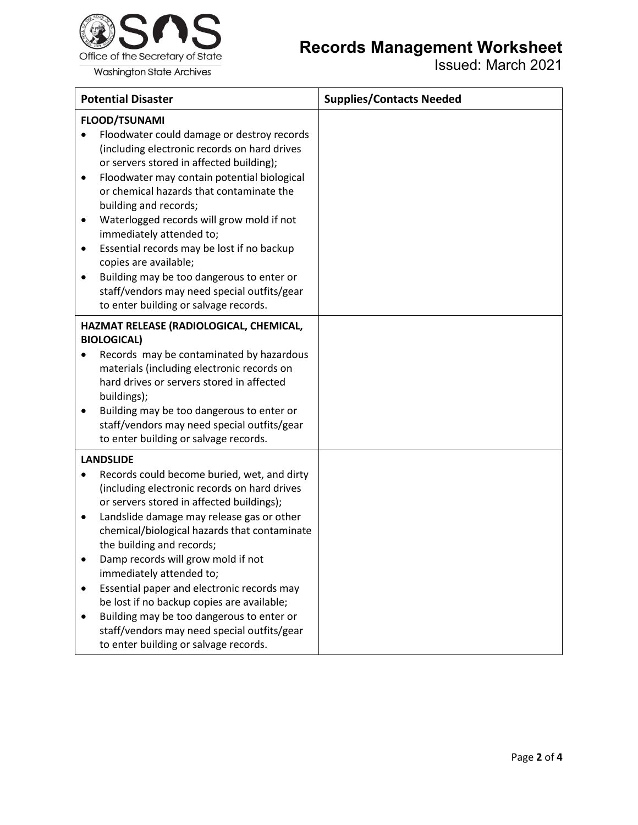

## **Records Management Worksheet**

Issued: March 2021

| <b>Potential Disaster</b>                                                                                                                                                                                                                                                                                                                                                                                                                                                                                                                                                                                             | <b>Supplies/Contacts Needed</b> |
|-----------------------------------------------------------------------------------------------------------------------------------------------------------------------------------------------------------------------------------------------------------------------------------------------------------------------------------------------------------------------------------------------------------------------------------------------------------------------------------------------------------------------------------------------------------------------------------------------------------------------|---------------------------------|
| <b>FLOOD/TSUNAMI</b><br>Floodwater could damage or destroy records<br>(including electronic records on hard drives<br>or servers stored in affected building);<br>Floodwater may contain potential biological<br>٠<br>or chemical hazards that contaminate the<br>building and records;<br>Waterlogged records will grow mold if not<br>٠<br>immediately attended to;<br>Essential records may be lost if no backup<br>$\bullet$<br>copies are available;<br>Building may be too dangerous to enter or<br>٠<br>staff/vendors may need special outfits/gear<br>to enter building or salvage records.                   |                                 |
| HAZMAT RELEASE (RADIOLOGICAL, CHEMICAL,<br><b>BIOLOGICAL)</b><br>Records may be contaminated by hazardous<br>materials (including electronic records on<br>hard drives or servers stored in affected<br>buildings);<br>Building may be too dangerous to enter or<br>٠<br>staff/vendors may need special outfits/gear<br>to enter building or salvage records.                                                                                                                                                                                                                                                         |                                 |
| <b>LANDSLIDE</b><br>Records could become buried, wet, and dirty<br>$\bullet$<br>(including electronic records on hard drives<br>or servers stored in affected buildings);<br>Landslide damage may release gas or other<br>٠<br>chemical/biological hazards that contaminate<br>the building and records;<br>Damp records will grow mold if not<br>immediately attended to;<br>Essential paper and electronic records may<br>٠<br>be lost if no backup copies are available;<br>Building may be too dangerous to enter or<br>٠<br>staff/vendors may need special outfits/gear<br>to enter building or salvage records. |                                 |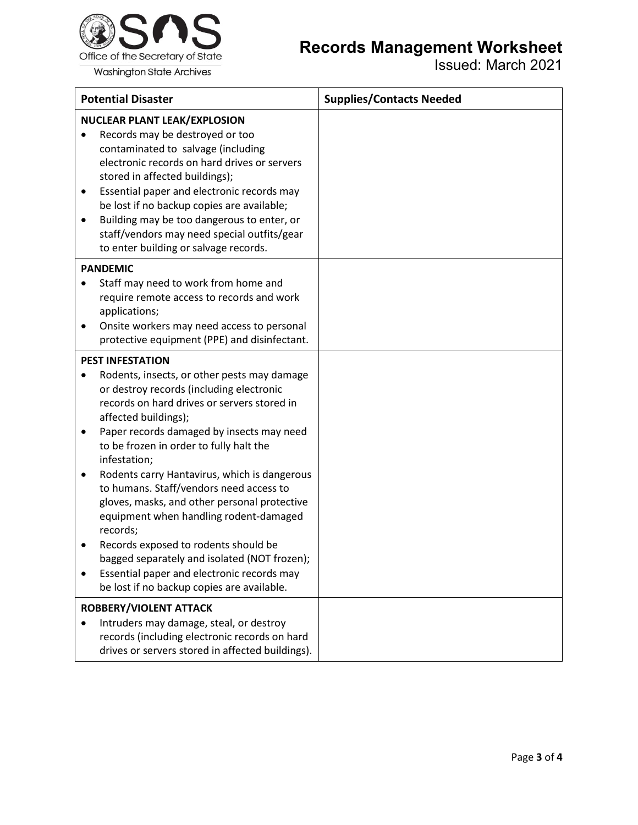

## **Records Management Worksheet**

Issued: March 2021

|             | <b>Potential Disaster</b>                                                                                                                                                                                                                                                                                                                                                                                                                                                                                                                                                                                                                                                              | <b>Supplies/Contacts Needed</b> |
|-------------|----------------------------------------------------------------------------------------------------------------------------------------------------------------------------------------------------------------------------------------------------------------------------------------------------------------------------------------------------------------------------------------------------------------------------------------------------------------------------------------------------------------------------------------------------------------------------------------------------------------------------------------------------------------------------------------|---------------------------------|
|             | <b>NUCLEAR PLANT LEAK/EXPLOSION</b><br>Records may be destroyed or too<br>contaminated to salvage (including<br>electronic records on hard drives or servers<br>stored in affected buildings);<br>Essential paper and electronic records may<br>be lost if no backup copies are available;<br>Building may be too dangerous to enter, or<br>staff/vendors may need special outfits/gear<br>to enter building or salvage records.                                                                                                                                                                                                                                                       |                                 |
|             | <b>PANDEMIC</b><br>Staff may need to work from home and<br>require remote access to records and work<br>applications;<br>Onsite workers may need access to personal<br>protective equipment (PPE) and disinfectant.                                                                                                                                                                                                                                                                                                                                                                                                                                                                    |                                 |
| ٠<br>٠<br>٠ | <b>PEST INFESTATION</b><br>Rodents, insects, or other pests may damage<br>or destroy records (including electronic<br>records on hard drives or servers stored in<br>affected buildings);<br>Paper records damaged by insects may need<br>to be frozen in order to fully halt the<br>infestation;<br>Rodents carry Hantavirus, which is dangerous<br>to humans. Staff/vendors need access to<br>gloves, masks, and other personal protective<br>equipment when handling rodent-damaged<br>records;<br>Records exposed to rodents should be<br>bagged separately and isolated (NOT frozen);<br>Essential paper and electronic records may<br>be lost if no backup copies are available. |                                 |
|             | ROBBERY/VIOLENT ATTACK<br>Intruders may damage, steal, or destroy<br>records (including electronic records on hard<br>drives or servers stored in affected buildings).                                                                                                                                                                                                                                                                                                                                                                                                                                                                                                                 |                                 |